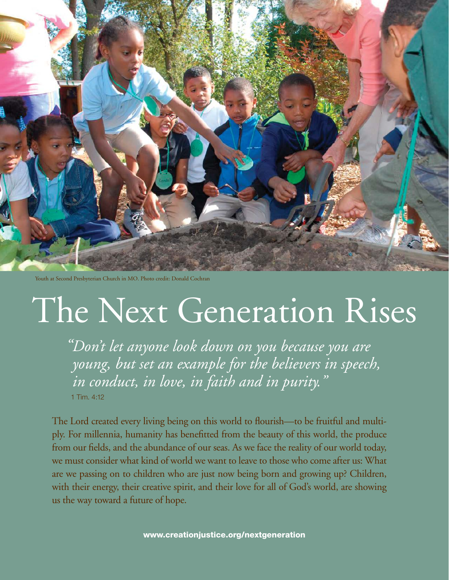

Youth at Second Presbyterian Church in MO. Photo credit: Donald Cochran

# The Next Generation Rises

*"Don't let anyone look down on you because you are young, but set an example for the believers in speech, in conduct, in love, in faith and in purity."* 

1 Tim. 4:12

The Lord created every living being on this world to flourish—to be fruitful and multiply. For millennia, humanity has benefitted from the beauty of this world, the produce from our fields, and the abundance of our seas. As we face the reality of our world today, we must consider what kind of world we want to leave to those who come after us: What are we passing on to children who are just now being born and growing up? Children, with their energy, their creative spirit, and their love for all of God's world, are showing us the way toward a future of hope.

[www.creationjustice.org/nextgeneration](http://www.creationjustice.org/nextgeneration)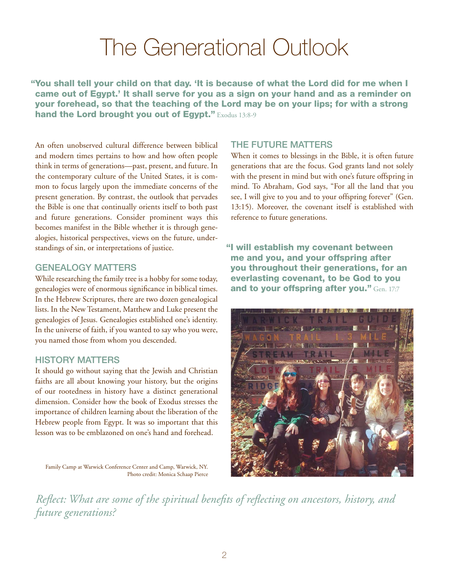### The Generational Outlook

"You shall tell your child on that day. 'It is because of what the Lord did for me when I came out of Egypt.' It shall serve for you as a sign on your hand and as a reminder on your forehead, so that the teaching of the Lord may be on your lips; for with a strong hand the Lord brought you out of Egypt." Exodus 13:8-9

An often unobserved cultural difference between biblical and modern times pertains to how and how often people think in terms of generations—past, present, and future. In the contemporary culture of the United States, it is common to focus largely upon the immediate concerns of the present generation. By contrast, the outlook that pervades the Bible is one that continually orients itself to both past and future generations. Consider prominent ways this becomes manifest in the Bible whether it is through genealogies, historical perspectives, views on the future, understandings of sin, or interpretations of justice.

#### Genealogy Matters

While researching the family tree is a hobby for some today, genealogies were of enormous significance in biblical times. In the Hebrew Scriptures, there are two dozen genealogical lists. In the New Testament, Matthew and Luke present the genealogies of Jesus. Genealogies established one's identity. In the universe of faith, if you wanted to say who you were, you named those from whom you descended.

#### History Matters

It should go without saying that the Jewish and Christian faiths are all about knowing your history, but the origins of our rootedness in history have a distinct generational dimension. Consider how the book of Exodus stresses the importance of children learning about the liberation of the Hebrew people from Egypt. It was so important that this lesson was to be emblazoned on one's hand and forehead.

Family Camp at Warwick Conference Center and Camp, Warwick, NY. Photo credit: Monica Schaap Pierce

#### The Future Matters

When it comes to blessings in the Bible, it is often future generations that are the focus. God grants land not solely with the present in mind but with one's future offspring in mind. To Abraham, God says, "For all the land that you see, I will give to you and to your offspring forever" (Gen. 13:15). Moreover, the covenant itself is established with reference to future generations.

"I will establish my covenant between me and you, and your offspring after you throughout their generations, for an everlasting covenant, to be God to you and to your offspring after you." Gen. 17:7



*Reflect: What are some of the spiritual benefits of reflecting on ancestors, history, and future generations?*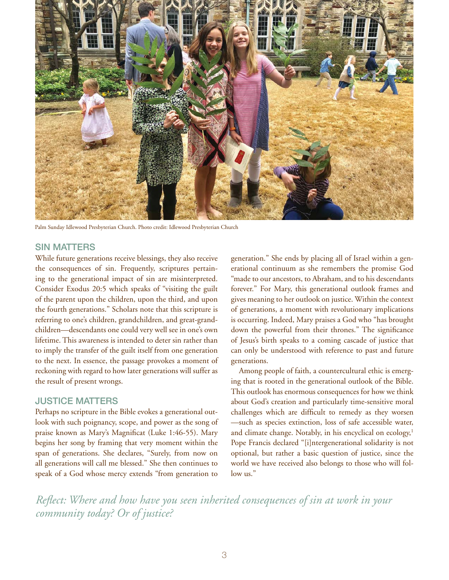

Palm Sunday Idlewood Presbyterian Church. Photo credit: Idlewood Presbyterian Church

#### Sin Matters

While future generations receive blessings, they also receive the consequences of sin. Frequently, scriptures pertaining to the generational impact of sin are misinterpreted. Consider Exodus 20:5 which speaks of "visiting the guilt of the parent upon the children, upon the third, and upon the fourth generations." Scholars note that this scripture is referring to one's children, grandchildren, and great-grandchildren—descendants one could very well see in one's own lifetime. This awareness is intended to deter sin rather than to imply the transfer of the guilt itself from one generation to the next. In essence, the passage provokes a moment of reckoning with regard to how later generations will suffer as the result of present wrongs.

#### **JUSTICE MATTERS**

Perhaps no scripture in the Bible evokes a generational outlook with such poignancy, scope, and power as the song of praise known as Mary's Magnificat (Luke 1:46-55). Mary begins her song by framing that very moment within the span of generations. She declares, "Surely, from now on all generations will call me blessed." She then continues to speak of a God whose mercy extends "from generation to

generation." She ends by placing all of Israel within a generational continuum as she remembers the promise God "made to our ancestors, to Abraham, and to his descendants forever." For Mary, this generational outlook frames and gives meaning to her outlook on justice. Within the context of generations, a moment with revolutionary implications is occurring. Indeed, Mary praises a God who "has brought down the powerful from their thrones." The significance of Jesus's birth speaks to a coming cascade of justice that can only be understood with reference to past and future generations.

Among people of faith, a countercultural ethic is emerging that is rooted in the generational outlook of the Bible. This outlook has enormous consequences for how we think about God's creation and particularly time-sensitive moral challenges which are difficult to remedy as they worsen —such as species extinction, loss of safe accessible water, and climate change. Notably, in his encyclical on ecology,<sup>1</sup> Pope Francis declared "[i]ntergenerational solidarity is not optional, but rather a basic question of justice, since the world we have received also belongs to those who will follow us."

*Reflect: Where and how have you seen inherited consequences of sin at work in your community today? Or of justice?*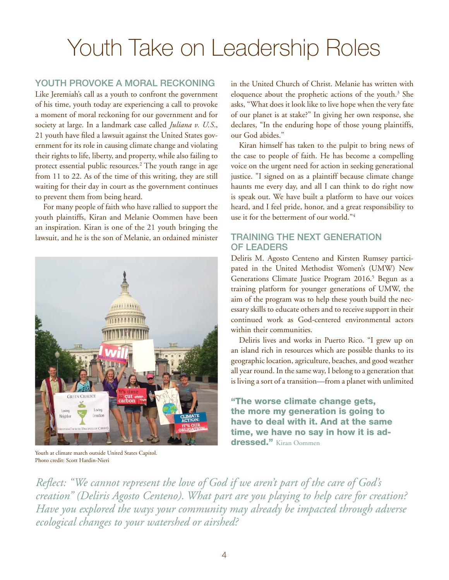## Youth Take on Leadership Roles

#### YOUTH PROVOKE A MORAL RECKONING

Like Jeremiah's call as a youth to confront the government of his time, youth today are experiencing a call to provoke a moment of moral reckoning for our government and for society at large. In a landmark case called *Juliana v. U.S.*, 21 youth have filed a lawsuit against the United States government for its role in causing climate change and violating their rights to life, liberty, and property, while also failing to protect essential public resources.2 The youth range in age from 11 to 22. As of the time of this writing, they are still waiting for their day in court as the government continues to prevent them from being heard.

For many people of faith who have rallied to support the youth plaintiffs, Kiran and Melanie Oommen have been an inspiration. Kiran is one of the 21 youth bringing the lawsuit, and he is the son of Melanie, an ordained minister



Youth at climate march outside United States Capitol. Photo credit: Scott Hardin-Nieri

in the United Church of Christ. Melanie has written with eloquence about the prophetic actions of the youth.<sup>3</sup> She asks, "What does it look like to live hope when the very fate of our planet is at stake?" In giving her own response, she declares, "In the enduring hope of those young plaintiffs, our God abides."

Kiran himself has taken to the pulpit to bring news of the case to people of faith. He has become a compelling voice on the urgent need for action in seeking generational justice. "I signed on as a plaintiff because climate change haunts me every day, and all I can think to do right now is speak out. We have built a platform to have our voices heard, and I feel pride, honor, and a great responsibility to use it for the betterment of our world."4

#### Training the Next Generation OF LEADERS

Deliris M. Agosto Centeno and Kirsten Rumsey participated in the United Methodist Women's (UMW) New Generations Climate Justice Program 2016.<sup>5</sup> Begun as a training platform for younger generations of UMW, the aim of the program was to help these youth build the necessary skills to educate others and to receive support in their continued work as God-centered environmental actors within their communities.

Deliris lives and works in Puerto Rico. "I grew up on an island rich in resources which are possible thanks to its geographic location, agriculture, beaches, and good weather all year round. In the same way, I belong to a generation that is living a sort of a transition—from a planet with unlimited

"The worse climate change gets, the more my generation is going to have to deal with it. And at the same time, we have no say in how it is addressed." Kiran Oommen

*Reflect: "We cannot represent the love of God if we aren't part of the care of God's creation" (Deliris Agosto Centeno). What part are you playing to help care for creation? Have you explored the ways your community may already be impacted through adverse ecological changes to your watershed or airshed?*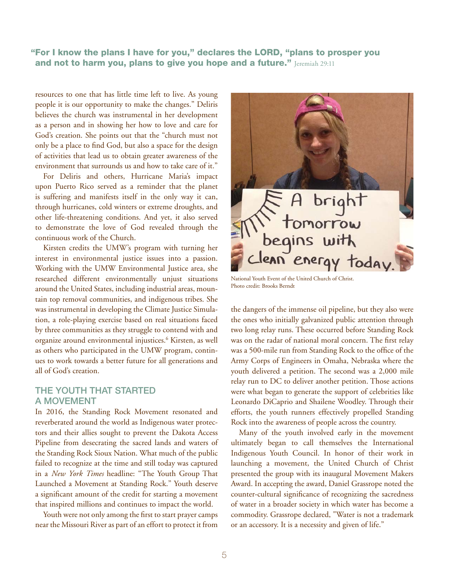"For I know the plans I have for you," declares the LORD, "plans to prosper you and not to harm you, plans to give you hope and a future."  $\text{Jeromial } 29:11$ 

resources to one that has little time left to live. As young people it is our opportunity to make the changes." Deliris believes the church was instrumental in her development as a person and in showing her how to love and care for God's creation. She points out that the "church must not only be a place to find God, but also a space for the design of activities that lead us to obtain greater awareness of the environment that surrounds us and how to take care of it."

For Deliris and others, Hurricane Maria's impact upon Puerto Rico served as a reminder that the planet is suffering and manifests itself in the only way it can, through hurricanes, cold winters or extreme droughts, and other life-threatening conditions. And yet, it also served to demonstrate the love of God revealed through the continuous work of the Church.

Kirsten credits the UMW's program with turning her interest in environmental justice issues into a passion. Working with the UMW Environmental Justice area, she researched different environmentally unjust situations around the United States, including industrial areas, mountain top removal communities, and indigenous tribes. She was instrumental in developing the Climate Justice Simulation, a role-playing exercise based on real situations faced by three communities as they struggle to contend with and organize around environmental injustices.6 Kirsten, as well as others who participated in the UMW program, continues to work towards a better future for all generations and all of God's creation.

#### The Youth that Started a Movement

In 2016, the Standing Rock Movement resonated and reverberated around the world as Indigenous water protectors and their allies sought to prevent the Dakota Access Pipeline from desecrating the sacred lands and waters of the Standing Rock Sioux Nation. What much of the public failed to recognize at the time and still today was captured in a *New York Times* headline: "The Youth Group That Launched a Movement at Standing Rock." Youth deserve a significant amount of the credit for starting a movement that inspired millions and continues to impact the world.

Youth were not only among the first to start prayer camps near the Missouri River as part of an effort to protect it from



National Youth Event of the United Church of Christ. Photo credit: Brooks Berndt

the dangers of the immense oil pipeline, but they also were the ones who initially galvanized public attention through two long relay runs. These occurred before Standing Rock was on the radar of national moral concern. The first relay was a 500-mile run from Standing Rock to the office of the Army Corps of Engineers in Omaha, Nebraska where the youth delivered a petition. The second was a 2,000 mile relay run to DC to deliver another petition. Those actions were what began to generate the support of celebrities like Leonardo DiCaprio and Shailene Woodley. Through their efforts, the youth runners effectively propelled Standing Rock into the awareness of people across the country.

Many of the youth involved early in the movement ultimately began to call themselves the International Indigenous Youth Council. In honor of their work in launching a movement, the United Church of Christ presented the group with its inaugural Movement Makers Award. In accepting the award, Daniel Grassrope noted the counter-cultural significance of recognizing the sacredness of water in a broader society in which water has become a commodity. Grassrope declared, "Water is not a trademark or an accessory. It is a necessity and given of life."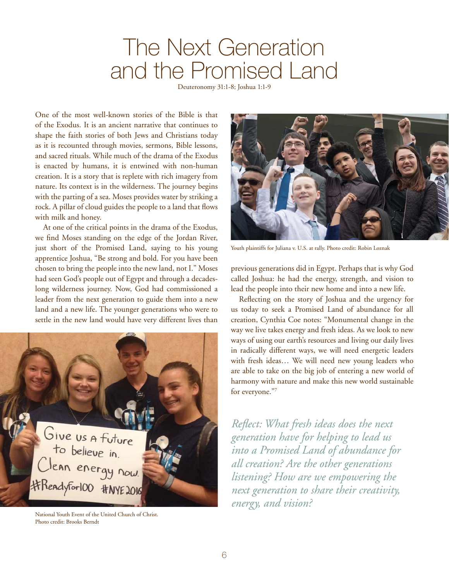### The Next Generation and the Promised Land

Deuteronomy 31:1-8; Joshua 1:1-9

One of the most well-known stories of the Bible is that of the Exodus. It is an ancient narrative that continues to shape the faith stories of both Jews and Christians today as it is recounted through movies, sermons, Bible lessons, and sacred rituals. While much of the drama of the Exodus is enacted by humans, it is entwined with non-human creation. It is a story that is replete with rich imagery from nature. Its context is in the wilderness. The journey begins with the parting of a sea. Moses provides water by striking a rock. A pillar of cloud guides the people to a land that flows with milk and honey.

At one of the critical points in the drama of the Exodus, we find Moses standing on the edge of the Jordan River, just short of the Promised Land, saying to his young apprentice Joshua, "Be strong and bold. For you have been chosen to bring the people into the new land, not I." Moses had seen God's people out of Egypt and through a decadeslong wilderness journey. Now, God had commissioned a leader from the next generation to guide them into a new land and a new life. The younger generations who were to settle in the new land would have very different lives than



National Youth Event of the United Church of Christ. Photo credit: Brooks Berndt



Youth plaintiffs for Juliana v. U.S. at rally. Photo credit: Robin Loznak

previous generations did in Egypt. Perhaps that is why God called Joshua: he had the energy, strength, and vision to lead the people into their new home and into a new life.

Reflecting on the story of Joshua and the urgency for us today to seek a Promised Land of abundance for all creation, Cynthia Coe notes: "Monumental change in the way we live takes energy and fresh ideas. As we look to new ways of using our earth's resources and living our daily lives in radically different ways, we will need energetic leaders with fresh ideas… We will need new young leaders who are able to take on the big job of entering a new world of harmony with nature and make this new world sustainable for everyone."7

*Reflect: What fresh ideas does the next generation have for helping to lead us into a Promised Land of abundance for all creation? Are the other generations listening? How are we empowering the next generation to share their creativity, energy, and vision?*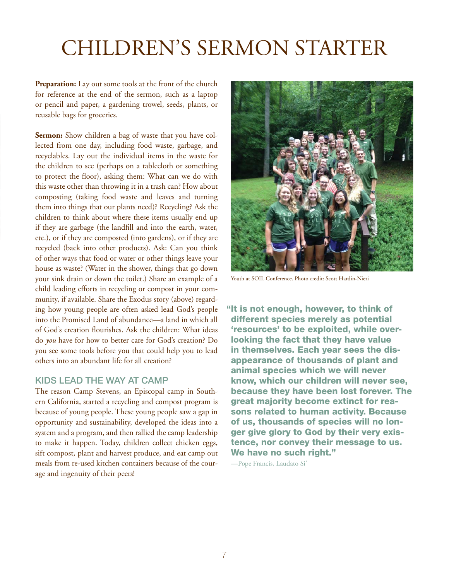### Children's Sermon Starter

**Preparation:** Lay out some tools at the front of the church for reference at the end of the sermon, such as a laptop or pencil and paper, a gardening trowel, seeds, plants, or reusable bags for groceries.

**Sermon:** Show children a bag of waste that you have collected from one day, including food waste, garbage, and recyclables. Lay out the individual items in the waste for the children to see (perhaps on a tablecloth or something to protect the floor), asking them: What can we do with this waste other than throwing it in a trash can? How about composting (taking food waste and leaves and turning them into things that our plants need)? Recycling? Ask the children to think about where these items usually end up if they are garbage (the landfill and into the earth, water, etc.), or if they are composted (into gardens), or if they are recycled (back into other products). Ask: Can you think of other ways that food or water or other things leave your house as waste? (Water in the shower, things that go down your sink drain or down the toilet.) Share an example of a child leading efforts in recycling or compost in your community, if available. Share the Exodus story (above) regarding how young people are often asked lead God's people into the Promised Land of abundance—a land in which all of God's creation flourishes. Ask the children: What ideas do *you* have for how to better care for God's creation? Do you see some tools before you that could help you to lead others into an abundant life for all creation?

#### Kids Lead the Way at Camp

The reason Camp Stevens, an Episcopal camp in Southern California, started a recycling and compost program is because of young people. These young people saw a gap in opportunity and sustainability, developed the ideas into a system and a program, and then rallied the camp leadership to make it happen. Today, children collect chicken eggs, sift compost, plant and harvest produce, and eat camp out meals from re-used kitchen containers because of the courage and ingenuity of their peers!



Youth at SOIL Conference. Photo credit: Scott Hardin-Nieri

"It is not enough, however, to think of different species merely as potential 'resources' to be exploited, while overlooking the fact that they have value in themselves. Each year sees the disappearance of thousands of plant and animal species which we will never know, which our children will never see, because they have been lost forever. The great majority become extinct for reasons related to human activity. Because of us, thousands of species will no longer give glory to God by their very existence, nor convey their message to us. We have no such right."

—Pope Francis, Laudato Si'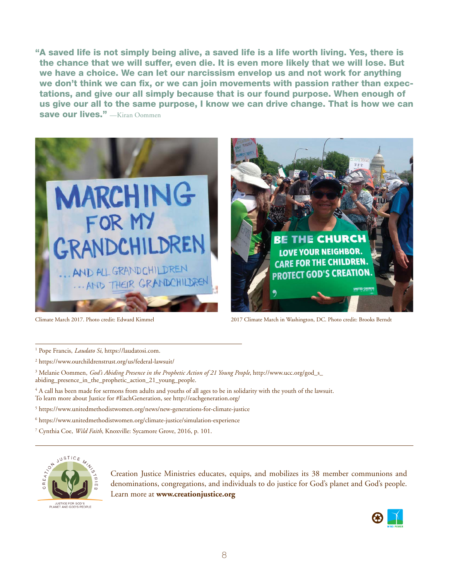"A saved life is not simply being alive, a saved life is a life worth living. Yes, there is the chance that we will suffer, even die. It is even more likely that we will lose. But we have a choice. We can let our narcissism envelop us and not work for anything we don't think we can fix, or we can join movements with passion rather than expectations, and give our all simply because that is our found purpose. When enough of us give our all to the same purpose, I know we can drive change. That is how we can save our lives." —Kiran Oommen





Climate March 2017. Photo credit: Edward Kimmel 2017 Climate March in Washington, DC. Photo credit: Brooks Berndt

<sup>1</sup> Pope Francis, *Laudato Si*, [https://laudatosi.com.](https://laudatosi.com)

2 <https://www.ourchildrenstrust.org/us/federal-lawsuit/>

3 Melanie Oommen, *God's Abiding Presence in the Prophetic Action of 21 Young People*, [http://www.ucc.org/god\\_s\\_](http://www.ucc.org/god_s_abiding_presence_in_the_prophetic_action_21_young_people) [abiding\\_presence\\_in\\_the\\_prophetic\\_action\\_21\\_young\\_people.](http://www.ucc.org/god_s_abiding_presence_in_the_prophetic_action_21_young_people)

4 A call has been made for sermons from adults and youths of all ages to be in solidarity with the youth of the lawsuit. To learn more about Justice for #EachGeneration, see <http://eachgeneration.org/>

5 <https://www.unitedmethodistwomen.org/news/new-generations-for-climate-justice>

6 <https://www.unitedmethodistwomen.org/climate-justice/simulation-experience>

7 Cynthia Coe, *Wild Faith*, Knoxville: Sycamore Grove, 2016, p. 101.



JUSTICE FOR GOD'S<br>PLANET AND GOD'S PEOPLE

Creation Justice Ministries educates, equips, and mobilizes its 38 member communions and denominations, congregations, and individuals to do justice for God's planet and God's people. Learn more at **[www.creationjustice.org](http://www.creationjustice.org)**

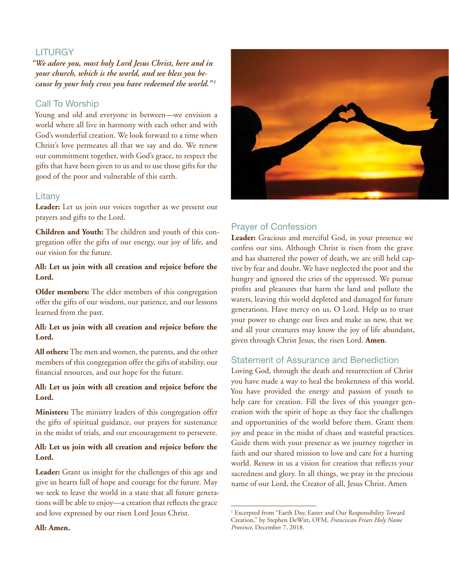#### **LITURGY**

*"We adore you, most holy Lord Jesus Christ, here and in your church, which is the world, and we bless you because by your holy cross you have redeemed the world.*"<sup>*1*</sup>

#### Call To Worship

Young and old and everyone in between—we envision a world where all live in harmony with each other and with God's wonderful creation. We look forward to a time when Christ's love permeates all that we say and do. We renew our commitment together, with God's grace, to respect the gifts that have been given to us and to use those gifts for the good of the poor and vulnerable of this earth.

#### Litany

**Leader:** Let us join our voices together as we present our prayers and gifts to the Lord.

**Children and Youth:** The children and youth of this congregation offer the gifts of our energy, our joy of life, and our vision for the future.

#### **All: Let us join with all creation and rejoice before the Lord.**

**Older members:** The elder members of this congregation offer the gifts of our wisdom, our patience, and our lessons learned from the past.

#### **All: Let us join with all creation and rejoice before the Lord.**

**All others:** The men and women, the parents, and the other members of this congregation offer the gifts of stability, our financial resources, and our hope for the future.

#### **All: Let us join with all creation and rejoice before the Lord.**

**Ministers:** The ministry leaders of this congregation offer the gifts of spiritual guidance, our prayers for sustenance in the midst of trials, and our encouragement to persevere.

#### **All: Let us join with all creation and rejoice before the Lord.**

**Leader:** Grant us insight for the challenges of this age and give us hearts full of hope and courage for the future. May we seek to leave the world in a state that all future generations will be able to enjoy—a creation that reflects the grace and love expressed by our risen Lord Jesus Christ.



#### Prayer of Confession

**Leader:** Gracious and merciful God, in your presence we confess our sins. Although Christ is risen from the grave and has shattered the power of death, we are still held captive by fear and doubt. We have neglected the poor and the hungry and ignored the cries of the oppressed. We pursue profits and pleasures that harm the land and pollute the waters, leaving this world depleted and damaged for future generations. Have mercy on us, O Lord. Help us to trust your power to change our lives and make us new, that we and all your creatures may know the joy of life abundant, given through Christ Jesus, the risen Lord. **Amen**.

#### Statement of Assurance and Benediction

Loving God, through the death and resurrection of Christ you have made a way to heal the brokenness of this world. You have provided the energy and passion of youth to help care for creation. Fill the lives of this younger generation with the spirit of hope as they face the challenges and opportunities of the world before them. Grant them joy and peace in the midst of chaos and wasteful practices. Guide them with your presence as we journey together in faith and our shared mission to love and care for a hurting world. Renew in us a vision for creation that reflects your sacredness and glory. In all things, we pray in the precious name of our Lord, the Creator of all, Jesus Christ. Amen

**All: Amen.**

<sup>&</sup>lt;sup>1</sup> Excerpted from "Earth Day, Easter and Our Responsibility Toward Creation," by Stephen DeWitt, OFM, *Franciscan Friars Holy Name Province*, December 7, 2018.